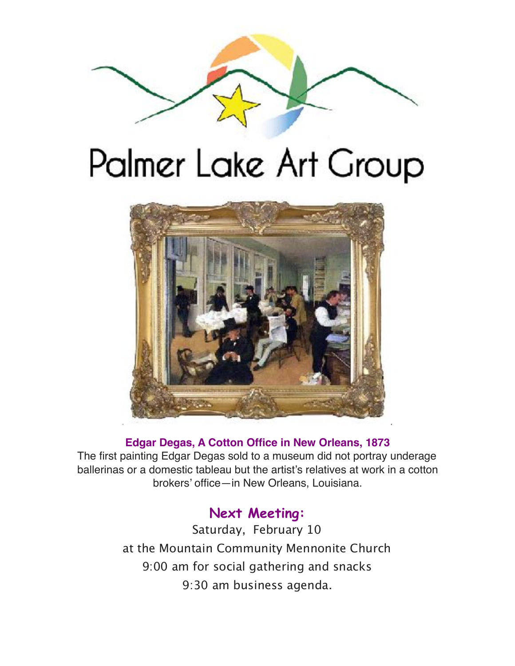

# Palmer Lake Art Group



## **Edgar Degas, A Cotton Office in New Orleans, 1873**

The first painting Edgar Degas sold to a museum did not portray underage ballerinas or a domestic tableau but the artist's relatives at work in a cotton brokers' office—in New Orleans, Louisiana.

## **Next Meeting:**

Saturday, February 10 at the Mountain Community Mennonite Church 9:00 am for social gathering and snacks 9:30 am business agenda.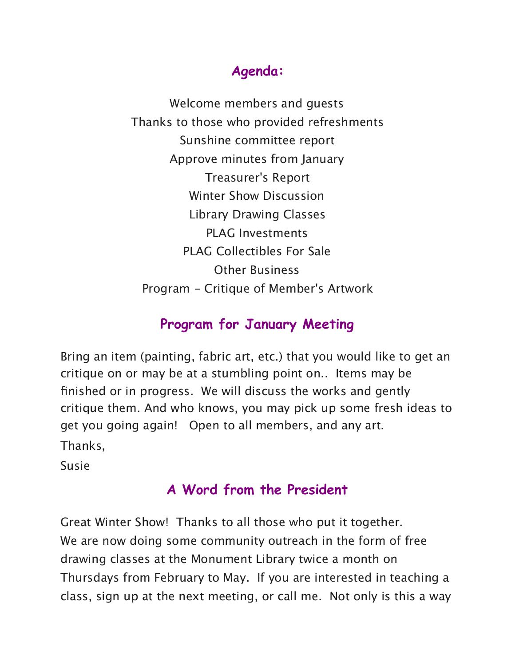# **Agenda:**

Welcome members and guests Thanks to those who provided refreshments Sunshine committee report Approve minutes from January Treasurer's Report Winter Show Discussion Library Drawing Classes PLAG Investments PLAG Collectibles For Sale Other Business Program - Critique of Member's Artwork

# **Program for January Meeting**

Bring an item (painting, fabric art, etc.) that you would like to get an critique on or may be at a stumbling point on.. Items may be finished or in progress. We will discuss the works and gently critique them. And who knows, you may pick up some fresh ideas to get you going again! Open to all members, and any art. Thanks,

Susie

# **A Word from the President**

Great Winter Show! Thanks to all those who put it together. We are now doing some community outreach in the form of free drawing classes at the Monument Library twice a month on Thursdays from February to May. If you are interested in teaching a class, sign up at the next meeting, or call me. Not only is this a way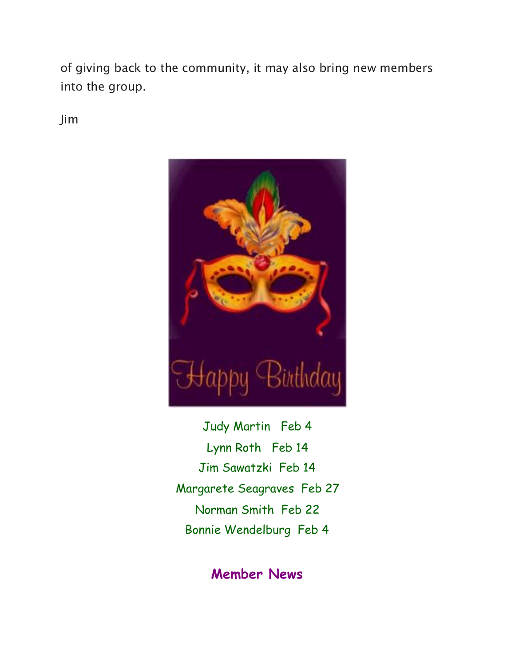of giving back to the community, it may also bring new members into the group.

Jim



Judy Martin Feb 4 Lynn Roth Feb 14 Jim Sawatzki Feb 14 Margarete Seagraves Feb 27 Norman Smith Feb 22 Bonnie Wendelburg Feb 4

## **Member News**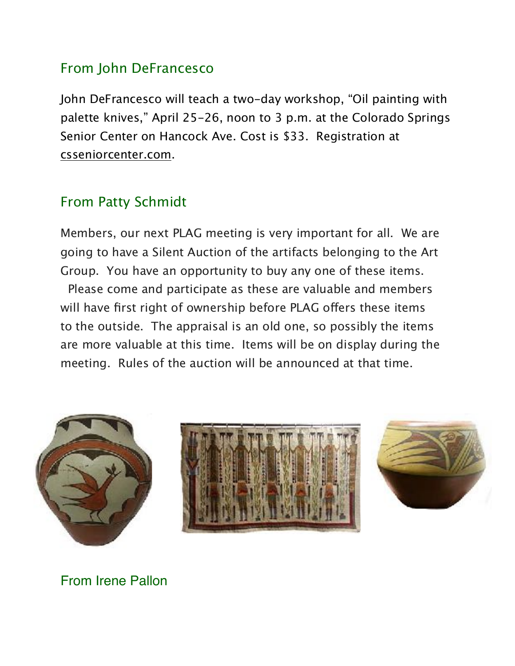## From John DeFrancesco

John DeFrancesco will teach a two-day workshop, "Oil painting with palette knives," April 25-26, noon to 3 p.m. at the Colorado Springs Senior Center on Hancock Ave. Cost is \$33. Registration at [csseniorcenter.com](http://csseniorcenter.com/).

# From Patty Schmidt

Members, our next PLAG meeting is very important for all. We are going to have a Silent Auction of the artifacts belonging to the Art Group. You have an opportunity to buy any one of these items. Please come and participate as these are valuable and members will have first right of ownership before PLAG offers these items to the outside. The appraisal is an old one, so possibly the items are more valuable at this time. Items will be on display during the meeting. Rules of the auction will be announced at that time.







From Irene Pallon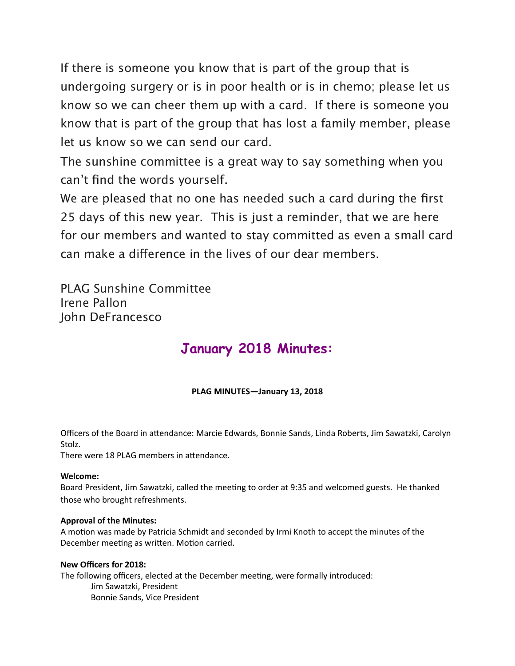If there is someone you know that is part of the group that is undergoing surgery or is in poor health or is in chemo; please let us know so we can cheer them up with a card. If there is someone you know that is part of the group that has lost a family member, please let us know so we can send our card.

The sunshine committee is a great way to say something when you can't find the words yourself.

We are pleased that no one has needed such a card during the first 25 days of this new year. This is just a reminder, that we are here for our members and wanted to stay committed as even a small card can make a diference in the lives of our dear members.

PLAG Sunshine Committee Irene Pallon John DeFrancesco

# **January 2018 Minutes:**

## **PLAG MINUTES-January 13, 2018**

Officers of the Board in attendance: Marcie Edwards, Bonnie Sands, Linda Roberts, Jim Sawatzki, Carolyn Stolz. 

There were 18 PLAG members in attendance.

## **Welcome:**

Board President, Jim Sawatzki, called the meeting to order at 9:35 and welcomed guests. He thanked those who brought refreshments.

### **Approval of the Minutes:**

A motion was made by Patricia Schmidt and seconded by Irmi Knoth to accept the minutes of the December meeting as written. Motion carried.

### **New Officers for 2018:**

The following officers, elected at the December meeting, were formally introduced: Jim Sawatzki, President Bonnie Sands, Vice President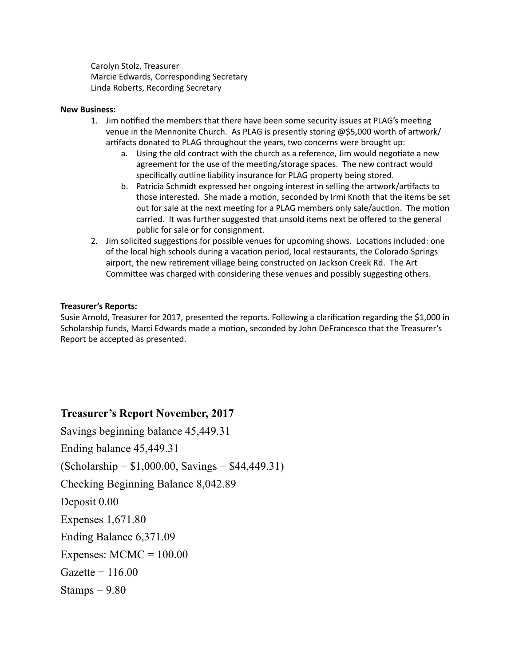Carolyn Stolz, Treasurer Marcie Edwards, Corresponding Secretary Linda Roberts, Recording Secretary

#### **New Business:**

- 1. Jim notified the members that there have been some security issues at PLAG's meeting venue in the Mennonite Church. As PLAG is presently storing @\$5,000 worth of artwork/ artifacts donated to PLAG throughout the years, two concerns were brought up:
	- a. Using the old contract with the church as a reference, Jim would negotiate a new agreement for the use of the meeting/storage spaces. The new contract would specifically outline liability insurance for PLAG property being stored.
	- b. Patricia Schmidt expressed her ongoing interest in selling the artwork/artifacts to those interested. She made a motion, seconded by Irmi Knoth that the items be set out for sale at the next meeting for a PLAG members only sale/auction. The motion carried. It was further suggested that unsold items next be offered to the general public for sale or for consignment.
- 2. Jim solicited suggestions for possible venues for upcoming shows. Locations included: one of the local high schools during a vacation period, local restaurants, the Colorado Springs airport, the new retirement village being constructed on Jackson Creek Rd. The Art Committee was charged with considering these venues and possibly suggesting others.

#### **Treasurer's Reports:**

Susie Arnold, Treasurer for 2017, presented the reports. Following a clarification regarding the \$1,000 in Scholarship funds, Marci Edwards made a motion, seconded by John DeFrancesco that the Treasurer's Report be accepted as presented.

## **Treasurer's Report November, 2017**

Savings beginning balance 45,449.31

Ending balance 45,449.31

 $(Scholarship = $1,000.00, Savings = $44,449.31)$ 

Checking Beginning Balance 8,042.89

Deposit 0.00

Expenses 1,671.80

Ending Balance 6,371.09

Expenses:  $MCMC = 100.00$ 

 $Gazette = 116.00$ 

Stamps  $= 9.80$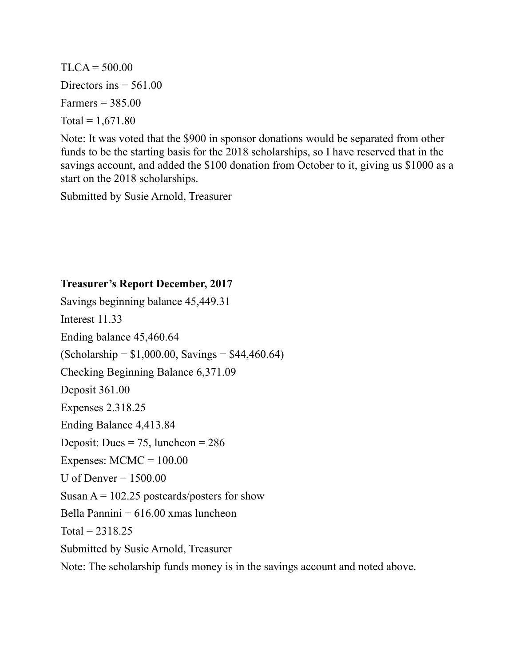$TLCA = 500.00$ Directors ins  $= 561.00$ Farmers =  $385.00$ Total =  $1,671.80$ 

Note: It was voted that the \$900 in sponsor donations would be separated from other funds to be the starting basis for the 2018 scholarships, so I have reserved that in the savings account, and added the \$100 donation from October to it, giving us \$1000 as a start on the 2018 scholarships.

Submitted by Susie Arnold, Treasurer

## **Treasurer's Report December, 2017**

Savings beginning balance 45,449.31 Interest 11.33 Ending balance 45,460.64  $(Scholarship = $1,000.00, Savings = $44,460.64)$ Checking Beginning Balance 6,371.09 Deposit 361.00 Expenses 2.318.25 Ending Balance 4,413.84 Deposit: Dues =  $75$ , luncheon =  $286$ Expenses:  $MCMC = 100.00$ U of Denver  $= 1500.00$ Susan  $A = 102.25$  postcards/posters for show Bella Pannini  $= 616.00$  xmas luncheon  $Total = 2318.25$ Submitted by Susie Arnold, Treasurer Note: The scholarship funds money is in the savings account and noted above.